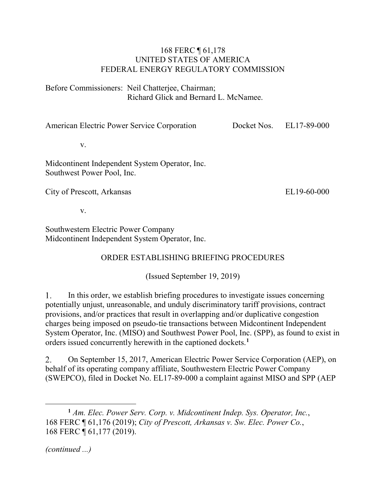## 168 FERC ¶ 61,178 UNITED STATES OF AMERICA FEDERAL ENERGY REGULATORY COMMISSION

Before Commissioners: Neil Chatterjee, Chairman; Richard Glick and Bernard L. McNamee.

American Electric Power Service Corporation

Docket Nos. EL17-89-000

v.

Midcontinent Independent System Operator, Inc. Southwest Power Pool, Inc.

City of Prescott, Arkansas

EL19-60-000

v.

Southwestern Electric Power Company Midcontinent Independent System Operator, Inc.

## ORDER ESTABLISHING BRIEFING PROCEDURES

(Issued September 19, 2019)

 $\mathbf{1}$ . In this order, we establish briefing procedures to investigate issues concerning potentially unjust, unreasonable, and unduly discriminatory tariff provisions, contract provisions, and/or practices that result in overlapping and/or duplicative congestion charges being imposed on pseudo-tie transactions between Midcontinent Independent System Operator, Inc. (MISO) and Southwest Power Pool, Inc. (SPP), as found to exist in orders issued concurrently herewith in the captioned dockets.**[1](#page-0-0)**

On September 15, 2017, American Electric Power Service Corporation (AEP), on 2. behalf of its operating company affiliate, Southwestern Electric Power Company (SWEPCO), filed in Docket No. EL17-89-000 a complaint against MISO and SPP (AEP

*(continued ...)*

 $\overline{a}$ 

<span id="page-0-0"></span>**<sup>1</sup>** *Am. Elec. Power Serv. Corp. v. Midcontinent Indep. Sys. Operator, Inc.*, 168 FERC ¶ 61,176 (2019); *City of Prescott, Arkansas v. Sw. Elec. Power Co.*, 168 FERC ¶ 61,177 (2019).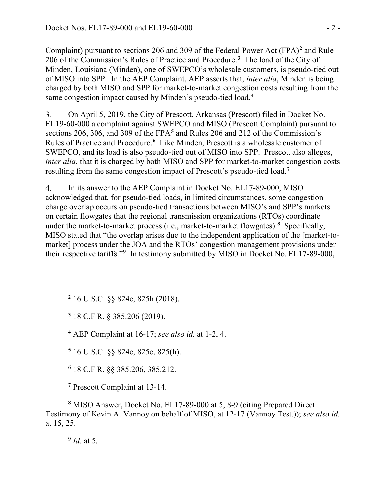Complaint) pursuant to sections 206 and 309 of the Federal Power Act (FPA)**[2](#page-1-0)** and Rule 206 of the Commission's Rules of Practice and Procedure. **[3](#page-1-1)** The load of the City of Minden, Louisiana (Minden), one of SWEPCO's wholesale customers, is pseudo-tied out of MISO into SPP. In the AEP Complaint, AEP asserts that, *inter alia*, Minden is being charged by both MISO and SPP for market-to-market congestion costs resulting from the same congestion impact caused by Minden's pseudo-tied load. **[4](#page-1-2)**

3. On April 5, 2019, the City of Prescott, Arkansas (Prescott) filed in Docket No. EL19-60-000 a complaint against SWEPCO and MISO (Prescott Complaint) pursuant to sections 206, 306, and 309 of the FPA**[5](#page-1-3)** and Rules 206 and 212 of the Commission's Rules of Practice and Procedure. **[6](#page-1-4)** Like Minden, Prescott is a wholesale customer of SWEPCO, and its load is also pseudo-tied out of MISO into SPP. Prescott also alleges, *inter alia*, that it is charged by both MISO and SPP for market-to-market congestion costs resulting from the same congestion impact of Prescott's pseudo-tied load. **[7](#page-1-5)**

 $\overline{4}$ . In its answer to the AEP Complaint in Docket No. EL17-89-000, MISO acknowledged that, for pseudo-tied loads, in limited circumstances, some congestion charge overlap occurs on pseudo-tied transactions between MISO's and SPP's markets on certain flowgates that the regional transmission organizations (RTOs) coordinate under the market-to-market process (i.e., market-to-market flowgates).**[8](#page-1-6)** Specifically, MISO stated that "the overlap arises due to the independent application of the [market-tomarket] process under the JOA and the RTOs' congestion management provisions under their respective tariffs."**[9](#page-1-7)** In testimony submitted by MISO in Docket No. EL17-89-000,

**<sup>2</sup>** 16 U.S.C. §§ 824e, 825h (2018).

**<sup>3</sup>** 18 C.F.R. § 385.206 (2019).

**<sup>4</sup>** AEP Complaint at 16-17; *see also id.* at 1-2, 4.

<span id="page-1-3"></span>**<sup>5</sup>** 16 U.S.C. §§ 824e, 825e, 825(h).

**<sup>6</sup>** 18 C.F.R. §§ 385.206, 385.212.

**<sup>7</sup>** Prescott Complaint at 13-14.

<span id="page-1-7"></span><span id="page-1-6"></span><span id="page-1-5"></span><span id="page-1-4"></span>**<sup>8</sup>** MISO Answer, Docket No. EL17-89-000 at 5, 8-9 (citing Prepared Direct Testimony of Kevin A. Vannoy on behalf of MISO, at 12-17 (Vannoy Test.)); *see also id.* at 15, 25.

**<sup>9</sup>** *Id.* at 5.

<span id="page-1-2"></span><span id="page-1-1"></span><span id="page-1-0"></span> $\overline{a}$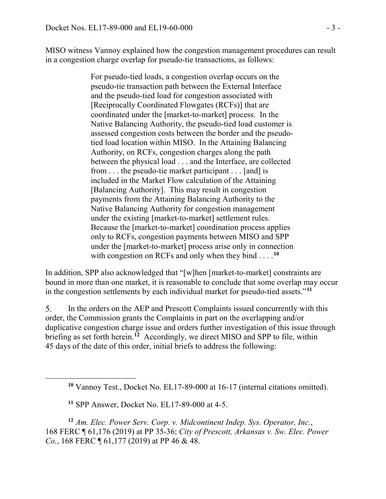MISO witness Vannoy explained how the congestion management procedures can result in a congestion charge overlap for pseudo-tie transactions, as follows:

> For pseudo-tied loads, a congestion overlap occurs on the pseudo-tie transaction path between the External Interface and the pseudo-tied load for congestion associated with [Reciprocally Coordinated Flowgates (RCFs)] that are coordinated under the [market-to-market] process. In the Native Balancing Authority, the pseudo-tied load customer is assessed congestion costs between the border and the pseudotied load location within MISO. In the Attaining Balancing Authority, on RCFs, congestion charges along the path between the physical load . . . and the Interface, are collected from . . . the pseudo-tie market participant . . . [and] is included in the Market Flow calculation of the Attaining [Balancing Authority]. This may result in congestion payments from the Attaining Balancing Authority to the Native Balancing Authority for congestion management under the existing [market-to-market] settlement rules. Because the [market-to-market] coordination process applies only to RCFs, congestion payments between MISO and SPP under the [market-to-market] process arise only in connection with congestion on RCFs and only when they bind . . . .**[10](#page-2-0)**

In addition, SPP also acknowledged that "[w]hen [market-to-market] constraints are bound in more than one market, it is reasonable to conclude that some overlap may occur in the congestion settlements by each individual market for pseudo-tied assets."**[11](#page-2-1)**

5. In the orders on the AEP and Prescott Complaints issued concurrently with this order, the Commission grants the Complaints in part on the overlapping and/or duplicative congestion charge issue and orders further investigation of this issue through briefing as set forth herein. **[12](#page-2-2)** Accordingly, we direct MISO and SPP to file, within 45 days of the date of this order, initial briefs to address the following:

<span id="page-2-0"></span> $\overline{a}$ 

<span id="page-2-2"></span><span id="page-2-1"></span>**<sup>12</sup>** *Am. Elec. Power Serv. Corp. v. Midcontinent Indep. Sys. Operator, Inc.*, 168 FERC ¶ 61,176 (2019) at PP 35-36; *City of Prescott, Arkansas v. Sw. Elec. Power Co.*, 168 FERC  $\P$  61, 177 (2019) at PP 46 & 48.

**<sup>10</sup>** Vannoy Test., Docket No. EL17-89-000 at 16-17 (internal citations omitted).

**<sup>11</sup>** SPP Answer, Docket No. EL17-89-000 at 4-5.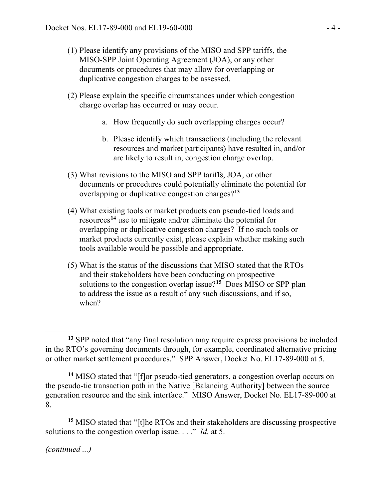- (1) Please identify any provisions of the MISO and SPP tariffs, the MISO-SPP Joint Operating Agreement (JOA), or any other documents or procedures that may allow for overlapping or duplicative congestion charges to be assessed.
- (2) Please explain the specific circumstances under which congestion charge overlap has occurred or may occur.
	- a. How frequently do such overlapping charges occur?
	- b. Please identify which transactions (including the relevant resources and market participants) have resulted in, and/or are likely to result in, congestion charge overlap.
- (3) What revisions to the MISO and SPP tariffs, JOA, or other documents or procedures could potentially eliminate the potential for overlapping or duplicative congestion charges?**[13](#page-3-0)**
- (4) What existing tools or market products can pseudo-tied loads and resources**[14](#page-3-1)** use to mitigate and/or eliminate the potential for overlapping or duplicative congestion charges? If no such tools or market products currently exist, please explain whether making such tools available would be possible and appropriate.
- (5) What is the status of the discussions that MISO stated that the RTOs and their stakeholders have been conducting on prospective solutions to the congestion overlap issue?**[15](#page-3-2)** Does MISO or SPP plan to address the issue as a result of any such discussions, and if so, when?

<span id="page-3-2"></span>**<sup>15</sup>** MISO stated that "[t]he RTOs and their stakeholders are discussing prospective solutions to the congestion overlap issue. . . ." *Id.* at 5.

*(continued ...)*

 $\overline{a}$ 

<span id="page-3-0"></span>**<sup>13</sup>** SPP noted that "any final resolution may require express provisions be included in the RTO's governing documents through, for example, coordinated alternative pricing or other market settlement procedures." SPP Answer, Docket No. EL17-89-000 at 5.

<span id="page-3-1"></span>**<sup>14</sup>** MISO stated that "[f]or pseudo-tied generators, a congestion overlap occurs on the pseudo-tie transaction path in the Native [Balancing Authority] between the source generation resource and the sink interface." MISO Answer, Docket No. EL17-89-000 at 8.